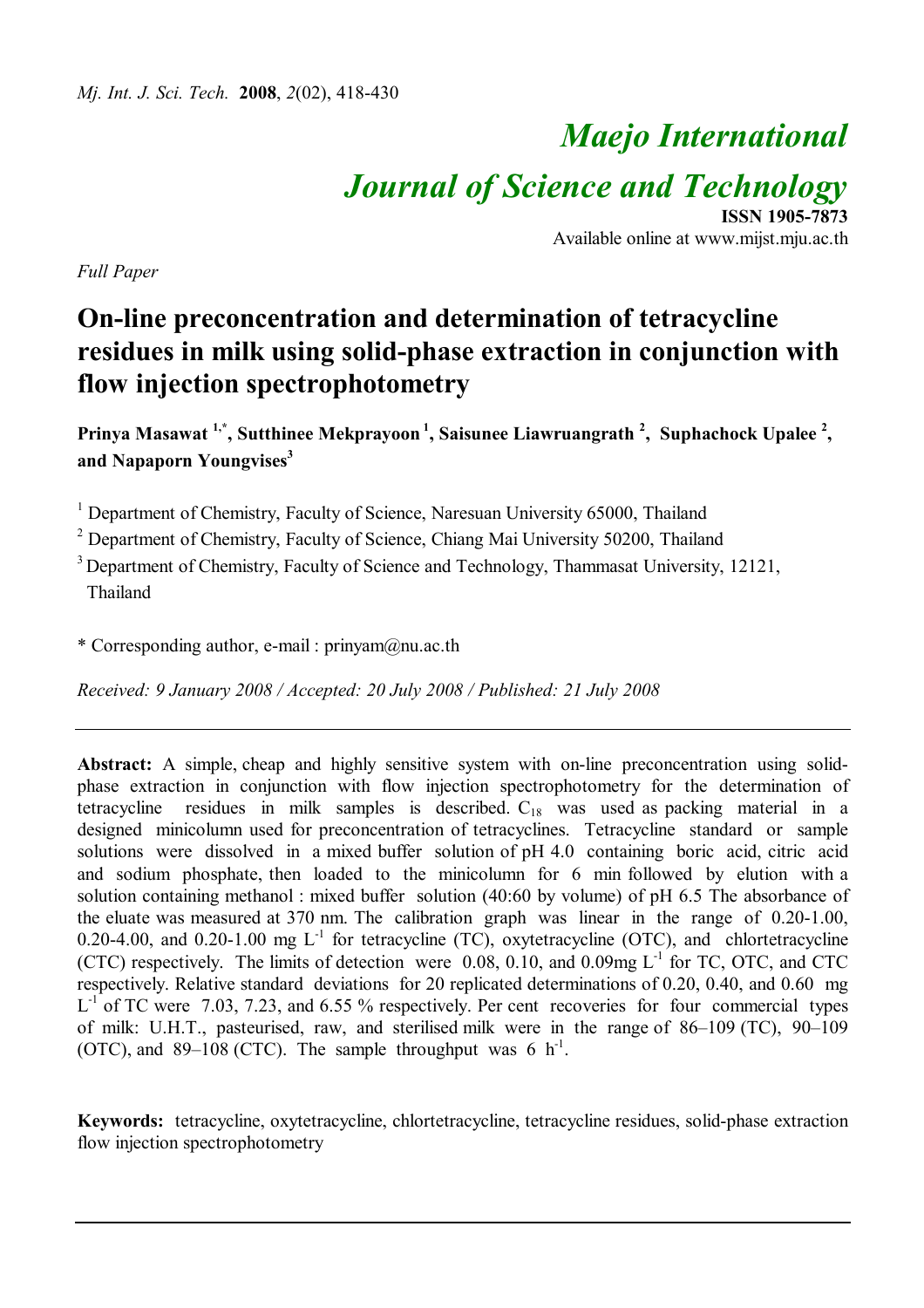# *Maejo International Journal of Science and Technology*

**ISSN 1905-7873** Available online at www.mijst.mju.ac.th

*Full Paper*

# **On-line preconcentration and determination of tetracycline residues in milk using solid-phase extraction in conjunction with flow injection spectrophotometry**

**Prinya Masawat 1,\* , Sutthinee Mekprayoon <sup>1</sup> , Saisunee Liawruangrath <sup>2</sup> , Suphachock Upalee <sup>2</sup> , and Napaporn Youngvises<sup>3</sup>** 

<sup>1</sup> Department of Chemistry, Faculty of Science, Naresuan University 65000, Thailand

<sup>2</sup> Department of Chemistry, Faculty of Science, Chiang Mai University 50200, Thailand

<sup>3</sup> Department of Chemistry, Faculty of Science and Technology, Thammasat University, 12121, Thailand

\* Corresponding author, e-mail : prinyam@nu.ac.th

*Received: 9 January 2008 / Accepted: 20 July 2008 / Published: 21 July 2008*

**Abstract:** A simple, cheap and highly sensitive system with on-line preconcentration using solidphase extraction in conjunction with flow injection spectrophotometry for the determination of tetracycline residues in milk samples is described.  $C_{18}$  was used as packing material in a designed minicolumn used for preconcentration of tetracyclines. Tetracycline standard or sample solutions were dissolved in a mixed buffer solution of pH 4.0 containing boric acid, citric acid and sodium phosphate, then loaded to the minicolumn for 6 min followed by elution with a solution containing methanol : mixed buffer solution (40:60 by volume) of pH 6.5 The absorbance of the eluate was measured at 370 nm. The calibration graph was linear in the range of 0.20-1.00, 0.20-4.00, and 0.20-1.00 mg  $L^{-1}$  for tetracycline (TC), oxytetracycline (OTC), and chlortetracycline (CTC) respectively. The limits of detection were 0.08, 0.10, and 0.09mg  $L^{-1}$  for TC, OTC, and CTC respectively. Relative standard deviations for 20 replicated determinations of 0.20, 0.40, and 0.60 mg  $L^{-1}$  of TC were 7.03, 7.23, and 6.55 % respectively. Per cent recoveries for four commercial types of milk: U.H.T., pasteurised, raw, and sterilised milk were in the range of 86–109 (TC), 90–109 (OTC), and 89–108 (CTC). The sample throughput was 6  $h^{-1}$ .

**Keywords:** tetracycline, oxytetracycline, chlortetracycline, tetracycline residues, solid-phase extraction flow injection spectrophotometry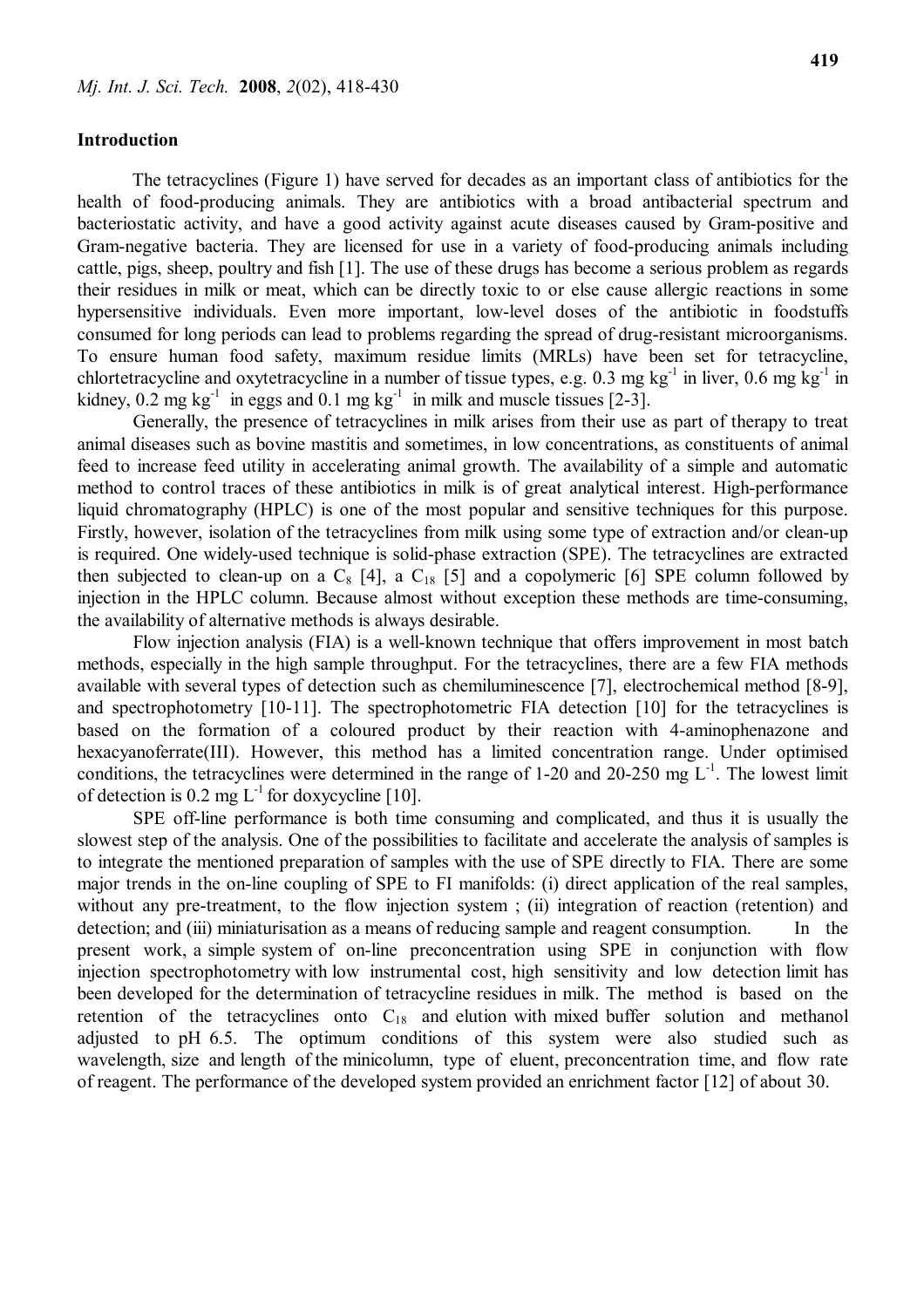# **Introduction**

 The tetracyclines (Figure 1) have served for decades as an important class of antibiotics for the health of food-producing animals. They are antibiotics with a broad antibacterial spectrum and bacteriostatic activity, and have a good activity against acute diseases caused by Gram-positive and Gram-negative bacteria. They are licensed for use in a variety of food-producing animals including cattle, pigs, sheep, poultry and fish [1]. The use of these drugs has become a serious problem as regards their residues in milk or meat, which can be directly toxic to or else cause allergic reactions in some hypersensitive individuals. Even more important, low-level doses of the antibiotic in foodstuffs consumed for long periods can lead to problems regarding the spread of drug-resistant microorganisms. To ensure human food safety, maximum residue limits (MRLs) have been set for tetracycline, chlortetracycline and oxytetracycline in a number of tissue types, e.g.  $0.3 \text{ mg kg}^{-1}$  in liver,  $0.6 \text{ mg kg}^{-1}$  in kidney,  $0.2 \text{ mg kg}^{-1}$  in eggs and  $0.1 \text{ mg kg}^{-1}$  in milk and muscle tissues [2-3].

Generally, the presence of tetracyclines in milk arises from their use as part of therapy to treat animal diseases such as bovine mastitis and sometimes, in low concentrations, as constituents of animal feed to increase feed utility in accelerating animal growth. The availability of a simple and automatic method to control traces of these antibiotics in milk is of great analytical interest. High-performance liquid chromatography (HPLC) is one of the most popular and sensitive techniques for this purpose. Firstly, however, isolation of the tetracyclines from milk using some type of extraction and/or clean-up is required. One widely-used technique is solid-phase extraction (SPE). The tetracyclines are extracted then subjected to clean-up on a  $C_8$  [4], a  $C_{18}$  [5] and a copolymeric [6] SPE column followed by injection in the HPLC column. Because almost without exception these methods are time-consuming, the availability of alternative methods is always desirable.

Flow injection analysis (FIA) is a well-known technique that offers improvement in most batch methods, especially in the high sample throughput. For the tetracyclines, there are a few FIA methods available with several types of detection such as chemiluminescence [7], electrochemical method [8-9], and spectrophotometry [10-11]. The spectrophotometric FIA detection [10] for the tetracyclines is based on the formation of a coloured product by their reaction with 4-aminophenazone and hexacyanoferrate(III). However, this method has a limited concentration range. Under optimised conditions, the tetracyclines were determined in the range of 1-20 and 20-250 mg  $L^{-1}$ . The lowest limit of detection is 0.2 mg  $L^{-1}$  for doxycycline [10].

SPE off-line performance is both time consuming and complicated, and thus it is usually the slowest step of the analysis. One of the possibilities to facilitate and accelerate the analysis of samples is to integrate the mentioned preparation of samples with the use of SPE directly to FIA. There are some major trends in the on-line coupling of SPE to FI manifolds: (i) direct application of the real samples, without any pre-treatment, to the flow injection system; (ii) integration of reaction (retention) and detection; and (iii) miniaturisation as a means of reducing sample and reagent consumption. In the present work, a simple system of on-line preconcentration using SPE in conjunction with flow injection spectrophotometry with low instrumental cost, high sensitivity and low detection limit has been developed for the determination of tetracycline residues in milk. The method is based on the retention of the tetracyclines onto  $C_{18}$  and elution with mixed buffer solution and methanol adjusted to pH 6.5. The optimum conditions of this system were also studied such as wavelength, size and length of the minicolumn, type of eluent, preconcentration time, and flow rate of reagent. The performance of the developed system provided an enrichment factor [12] of about 30.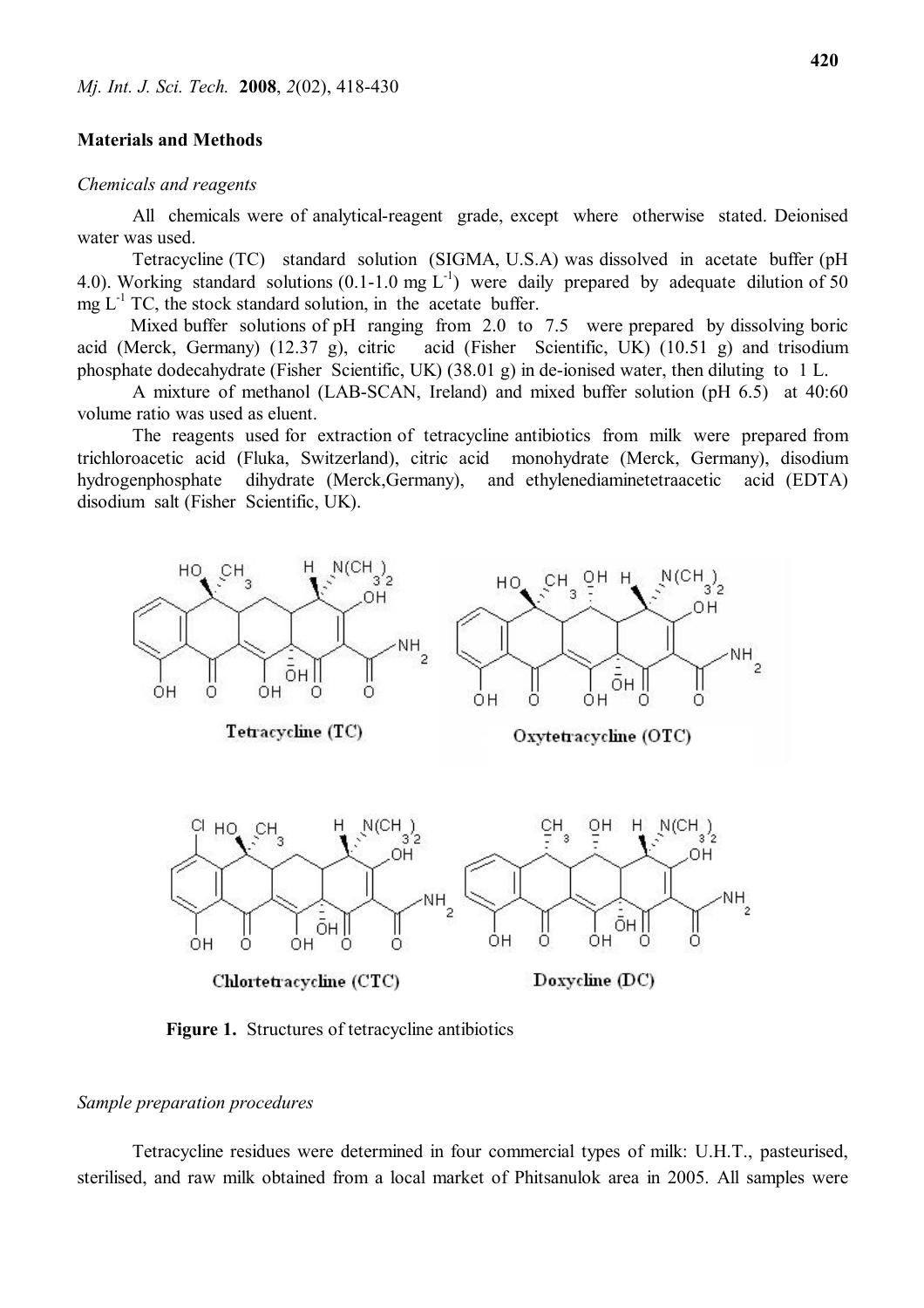# **Materials and Methods**

#### *Chemicals and reagents*

All chemicals were of analytical-reagent grade, except where otherwise stated. Deionised water was used.

Tetracycline (TC) standard solution (SIGMA, U.S.A) was dissolved in acetate buffer (pH 4.0). Working standard solutions (0.1-1.0 mg  $L^{-1}$ ) were daily prepared by adequate dilution of 50 mg  $L^{-1}$  TC, the stock standard solution, in the acetate buffer.

Mixed buffer solutions of pH ranging from 2.0 to 7.5 were prepared by dissolving boric acid (Merck, Germany) (12.37 g), citric acid (Fisher Scientific, UK) (10.51 g) and trisodium phosphate dodecahydrate (Fisher Scientific, UK) (38.01 g) in de-ionised water, then diluting to 1 L.

A mixture of methanol (LAB-SCAN, Ireland) and mixed buffer solution (pH 6.5) at 40:60 volume ratio was used as eluent.

The reagents used for extraction of tetracycline antibiotics from milk were prepared from trichloroacetic acid (Fluka, Switzerland), citric acid monohydrate (Merck, Germany), disodium hydrogenphosphate dihydrate (Merck,Germany), and ethylenediaminetetraacetic acid (EDTA) disodium salt (Fisher Scientific, UK).



**Figure 1.** Structures of tetracycline antibiotics

# *Sample preparation procedures*

Tetracycline residues were determined in four commercial types of milk: U.H.T., pasteurised, sterilised, and raw milk obtained from a local market of Phitsanulok area in 2005. All samples were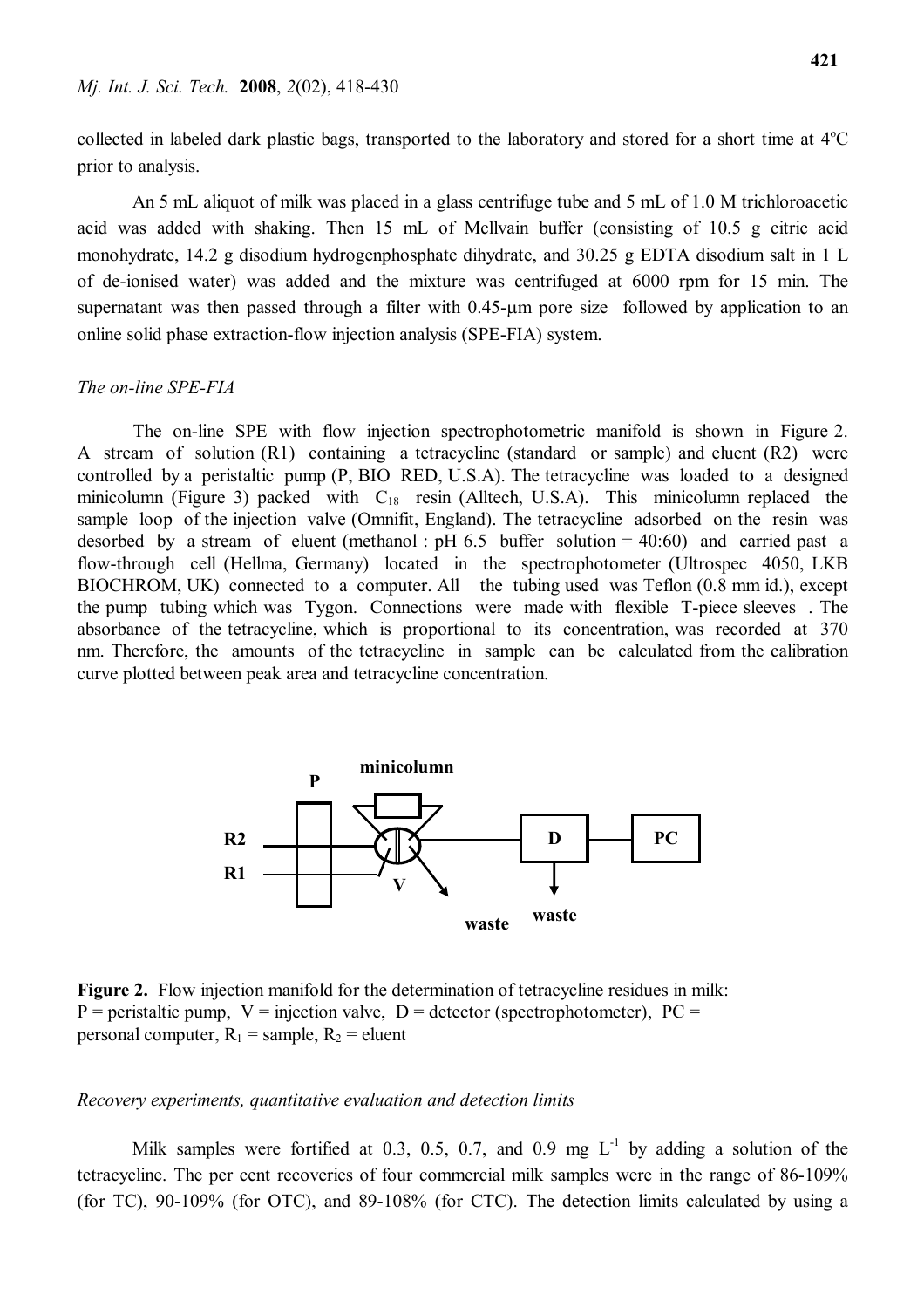collected in labeled dark plastic bags, transported to the laboratory and stored for a short time at  $4^{\circ}$ C prior to analysis.

An 5 mL aliquot of milk was placed in a glass centrifuge tube and 5 mL of 1.0 M trichloroacetic acid was added with shaking. Then 15 mL of Mcllvain buffer (consisting of 10.5 g citric acid monohydrate, 14.2 g disodium hydrogenphosphate dihydrate, and 30.25 g EDTA disodium salt in 1 L of de-ionised water) was added and the mixture was centrifuged at 6000 rpm for 15 min. The supernatant was then passed through a filter with  $0.45$ - $\mu$ m pore size followed by application to an online solid phase extraction-flow injection analysis (SPE-FIA) system.

#### *The on-line SPE-FIA*

The on-line SPE with flow injection spectrophotometric manifold is shown in Figure 2. A stream of solution (R1) containing a tetracycline (standard or sample) and eluent (R2) were controlled by a peristaltic pump (P, BIO RED, U.S.A). The tetracycline was loaded to a designed minicolumn (Figure 3) packed with  $C_{18}$  resin (Alltech, U.S.A). This minicolumn replaced the sample loop of the injection valve (Omnifit, England). The tetracycline adsorbed on the resin was desorbed by a stream of eluent (methanol :  $pH$  6.5 buffer solution = 40:60) and carried past a flow-through cell (Hellma, Germany) located in the spectrophotometer (Ultrospec 4050, LKB BIOCHROM, UK) connected to a computer. All the tubing used was Teflon (0.8 mm id.), except the pump tubing which was Tygon. Connections were made with flexible T-piece sleeves . The absorbance of the tetracycline, which is proportional to its concentration, was recorded at 370 nm. Therefore, the amounts of the tetracycline in sample can be calculated from the calibration curve plotted between peak area and tetracycline concentration.



**Figure 2.** Flow injection manifold for the determination of tetracycline residues in milk:  $P =$  peristaltic pump,  $V =$  injection valve,  $D =$  detector (spectrophotometer),  $PC =$ personal computer,  $R_1$  = sample,  $R_2$  = eluent

# *Recovery experiments, quantitative evaluation and detection limits*

Milk samples were fortified at 0.3, 0.5, 0.7, and 0.9 mg  $L^{-1}$  by adding a solution of the tetracycline. The per cent recoveries of four commercial milk samples were in the range of 86-109% (for TC), 90-109% (for OTC), and 89-108% (for CTC). The detection limits calculated by using a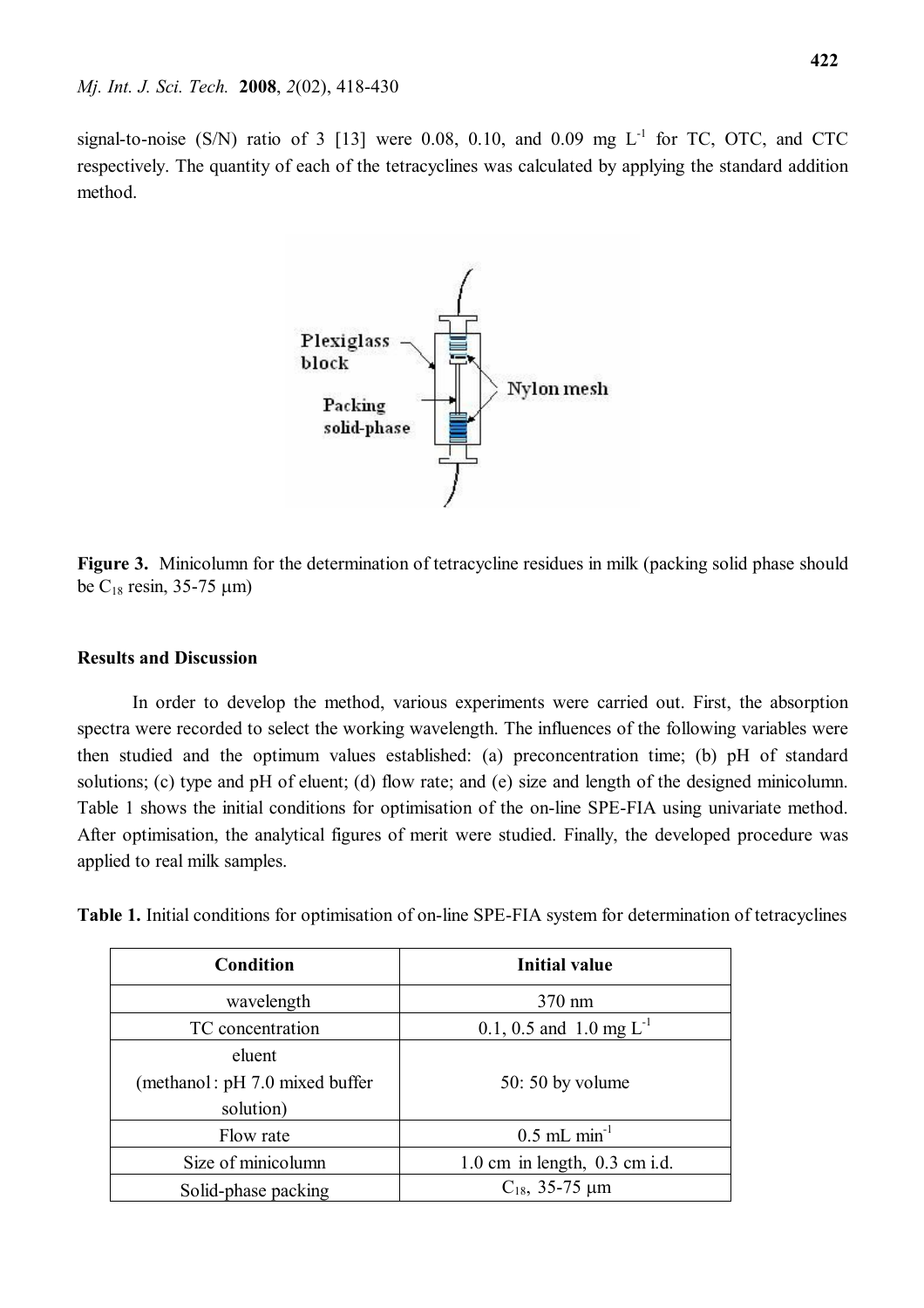signal-to-noise (S/N) ratio of 3 [13] were 0.08, 0.10, and 0.09 mg  $L^{-1}$  for TC, OTC, and CTC respectively. The quantity of each of the tetracyclines was calculated by applying the standard addition method.



**Figure 3.** Minicolumn for the determination of tetracycline residues in milk (packing solid phase should be  $C_{18}$  resin, 35-75  $\mu$ m)

# **Results and Discussion**

In order to develop the method, various experiments were carried out. First, the absorption spectra were recorded to select the working wavelength. The influences of the following variables were then studied and the optimum values established: (a) preconcentration time; (b) pH of standard solutions; (c) type and pH of eluent; (d) flow rate; and (e) size and length of the designed minicolumn. Table 1 shows the initial conditions for optimisation of the on-line SPE-FIA using univariate method. After optimisation, the analytical figures of merit were studied. Finally, the developed procedure was applied to real milk samples.

**Table 1.** Initial conditions for optimisation of on-line SPE-FIA system for determination of tetracyclines

| Condition                      | <b>Initial value</b>              |  |  |
|--------------------------------|-----------------------------------|--|--|
| wavelength                     | 370 nm                            |  |  |
| TC concentration               | 0.1, 0.5 and 1.0 mg $L^{-1}$      |  |  |
| eluent                         |                                   |  |  |
| (methanol: pH 7.0 mixed buffer | $50:50$ by volume                 |  |  |
| solution)                      |                                   |  |  |
| Flow rate                      | $0.5$ mL min <sup>-1</sup>        |  |  |
| Size of minicolumn             | $1.0$ cm in length, $0.3$ cm i.d. |  |  |
| Solid-phase packing            | $C_{18}$ , 35-75 µm               |  |  |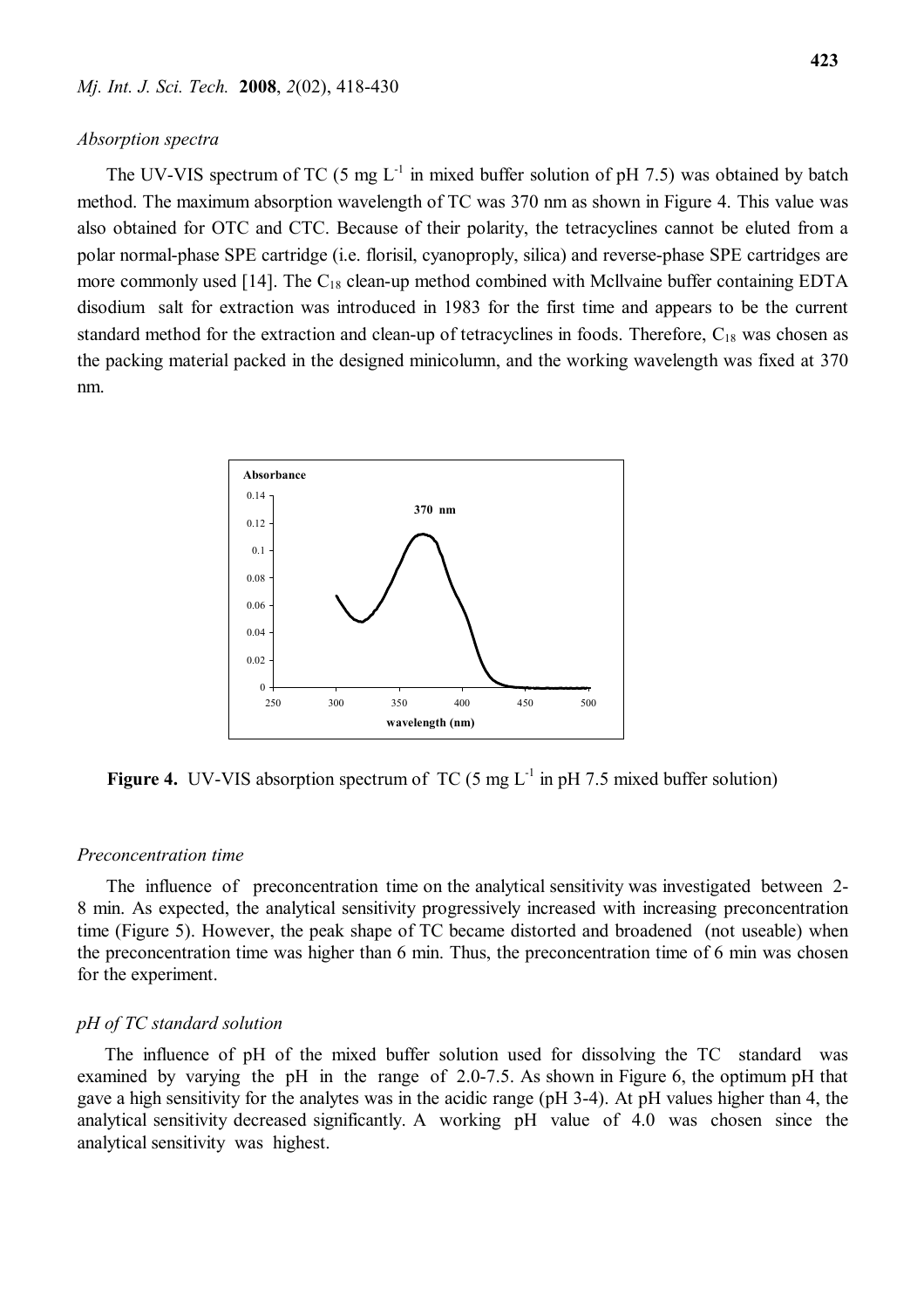#### *Mj. Int. J. Sci. Tech.* **2008**, *2*(02), 418-430

#### *Absorption spectra*

The UV-VIS spectrum of TC (5 mg  $L^{-1}$  in mixed buffer solution of pH 7.5) was obtained by batch method. The maximum absorption wavelength of TC was 370 nm as shown in Figure 4. This value was also obtained for OTC and CTC. Because of their polarity, the tetracyclines cannot be eluted from a polar normal-phase SPE cartridge (i.e. florisil, cyanoproply, silica) and reverse-phase SPE cartridges are more commonly used  $[14]$ . The  $C_{18}$  clean-up method combined with Mcllvaine buffer containing EDTA disodium salt for extraction was introduced in 1983 for the first time and appears to be the current standard method for the extraction and clean-up of tetracyclines in foods. Therefore,  $C_{18}$  was chosen as the packing material packed in the designed minicolumn, and the working wavelength was fixed at 370 nm.



**Figure 4.** UV-VIS absorption spectrum of TC  $(5 \text{ mg } L^{-1} \text{ in pH } 7.5 \text{ mixed buffer solution})$ 

#### *Preconcentration time*

The influence of preconcentration time on the analytical sensitivity was investigated between 2-8 min. As expected, the analytical sensitivity progressively increased with increasing preconcentration time (Figure 5). However, the peak shape of TC became distorted and broadened (not useable) when the preconcentration time was higher than 6 min. Thus, the preconcentration time of 6 min was chosen for the experiment.

#### *pH of TC standard solution*

The influence of pH of the mixed buffer solution used for dissolving the TC standard was examined by varying the pH in the range of 2.0-7.5. As shown in Figure 6, the optimum pH that gave a high sensitivity for the analytes was in the acidic range (pH 3-4). At pH values higher than 4, the analytical sensitivity decreased significantly. A working pH value of 4.0 was chosen since the analytical sensitivity was highest.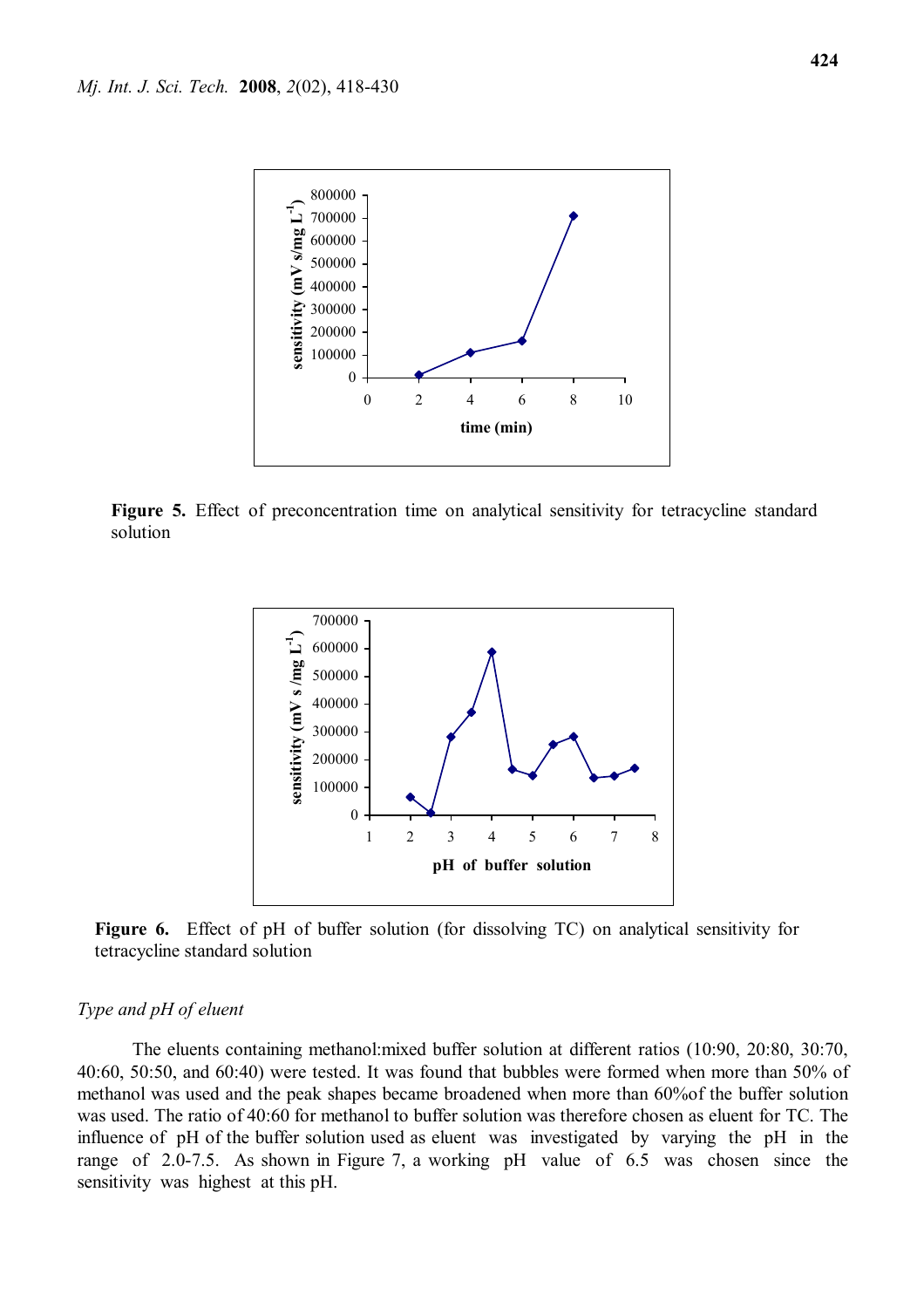

Figure 5. Effect of preconcentration time on analytical sensitivity for tetracycline standard solution



Figure 6. Effect of pH of buffer solution (for dissolving TC) on analytical sensitivity for tetracycline standard solution

# *Type and pH of eluent*

The eluents containing methanol:mixed buffer solution at different ratios (10:90, 20:80, 30:70, 40:60, 50:50, and 60:40) were tested. It was found that bubbles were formed when more than 50% of methanol was used and the peak shapes became broadened when more than 60%of the buffer solution was used. The ratio of 40:60 for methanol to buffer solution was therefore chosen as eluent for TC. The influence of pH of the buffer solution used as eluent was investigated by varying the pH in the range of 2.0-7.5. As shown in Figure 7, a working pH value of 6.5 was chosen since the sensitivity was highest at this pH.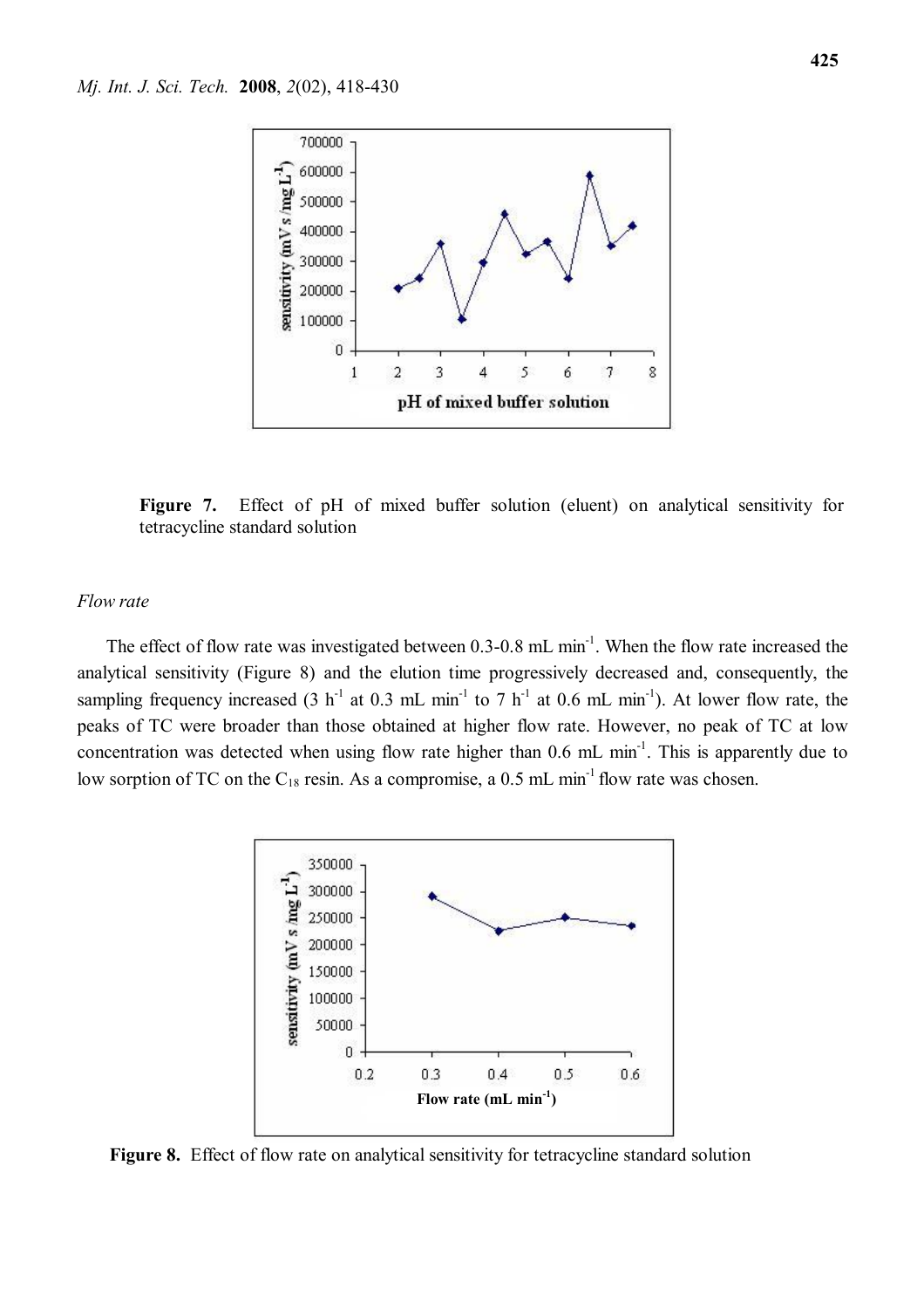

Figure 7. Effect of pH of mixed buffer solution (eluent) on analytical sensitivity for tetracycline standard solution

#### *Flow rate*

The effect of flow rate was investigated between 0.3-0.8 mL min<sup>-1</sup>. When the flow rate increased the analytical sensitivity (Figure 8) and the elution time progressively decreased and, consequently, the sampling frequency increased (3 h<sup>-1</sup> at 0.3 mL min<sup>-1</sup> to 7 h<sup>-1</sup> at 0.6 mL min<sup>-1</sup>). At lower flow rate, the peaks of TC were broader than those obtained at higher flow rate. However, no peak of TC at low concentration was detected when using flow rate higher than  $0.6$  mL min<sup>-1</sup>. This is apparently due to low sorption of TC on the  $C_{18}$  resin. As a compromise, a 0.5 mL min<sup>-1</sup> flow rate was chosen.



**Figure 8.** Effect of flow rate on analytical sensitivity for tetracycline standard solution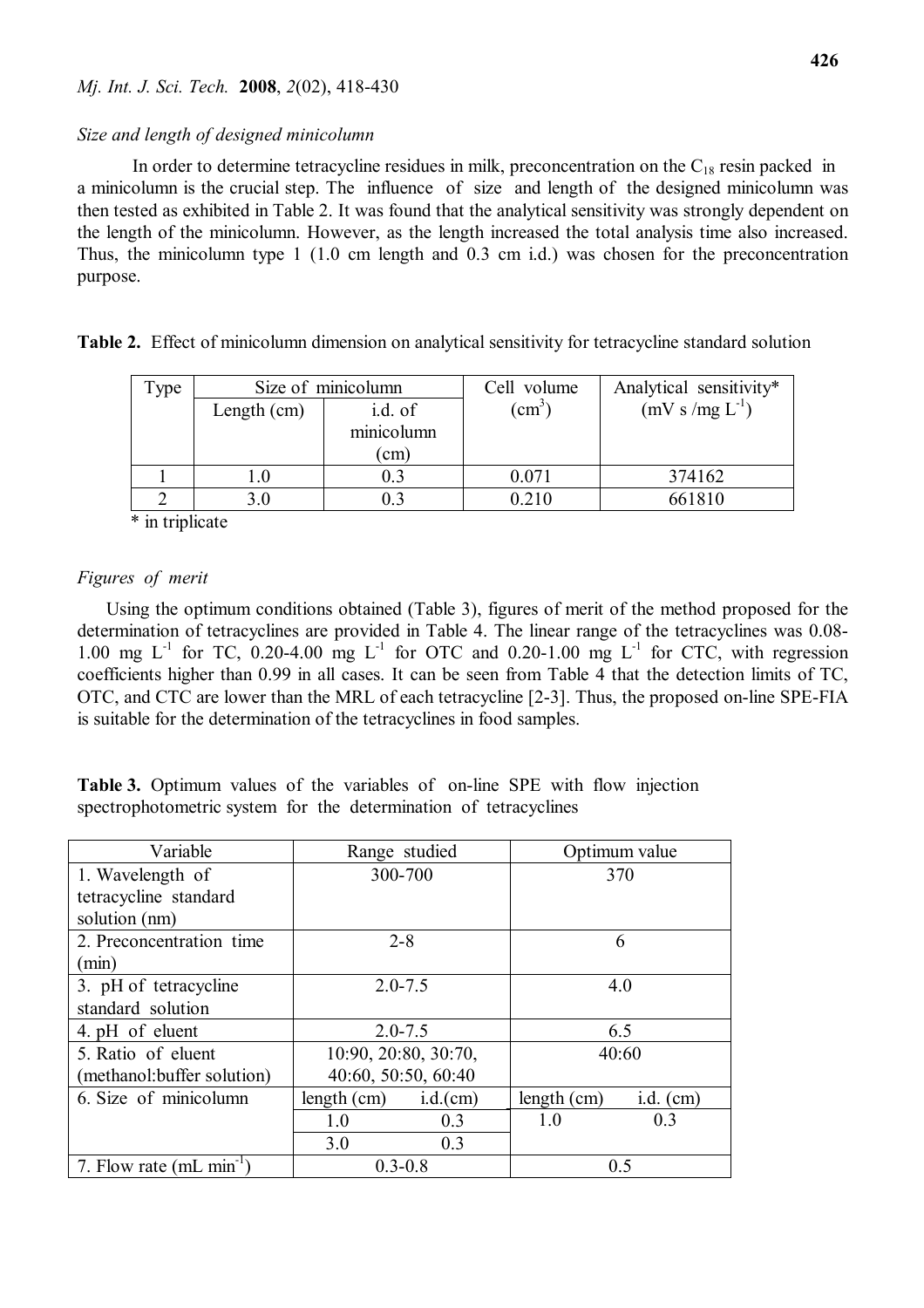#### *Size and length of designed minicolumn*

In order to determine tetracycline residues in milk, preconcentration on the  $C_{18}$  resin packed in a minicolumn is the crucial step. The influence of size and length of the designed minicolumn was then tested as exhibited in Table 2. It was found that the analytical sensitivity was strongly dependent on the length of the minicolumn. However, as the length increased the total analysis time also increased. Thus, the minicolumn type 1 (1.0 cm length and 0.3 cm i.d.) was chosen for the preconcentration purpose.

**Table 2.** Effect of minicolumn dimension on analytical sensitivity for tetracycline standard solution

| Type | Size of minicolumn |            | Cell volume   | Analytical sensitivity* |
|------|--------------------|------------|---------------|-------------------------|
|      | Length $(cm)$      | i.d. of    | $\text{cm}^3$ | $(mV s/mg L^{-1})$      |
|      |                    | minicolumn |               |                         |
|      |                    | (cm)       |               |                         |
|      |                    |            | 0.071         | 374162                  |
|      | 3.0                |            | 0.210         | 661810                  |

\* in triplicate

# *Figures of merit*

Using the optimum conditions obtained (Table 3), figures of merit of the method proposed for the determination of tetracyclines are provided in Table 4. The linear range of the tetracyclines was 0.08- 1.00 mg  $L^{-1}$  for TC, 0.20-4.00 mg  $L^{-1}$  for OTC and 0.20-1.00 mg  $L^{-1}$  for CTC, with regression coefficients higher than 0.99 in all cases. It can be seen from Table 4 that the detection limits of TC, OTC, and CTC are lower than the MRL of each tetracycline [2-3]. Thus, the proposed on-line SPE-FIA is suitable for the determination of the tetracyclines in food samples.

**Table 3.** Optimum values of the variables of on-line SPE with flow injection spectrophotometric system for the determination of tetracyclines

| Variable                             | Range studied        |          | Optimum value |             |
|--------------------------------------|----------------------|----------|---------------|-------------|
| 1. Wavelength of                     | 300-700              |          | 370           |             |
| tetracycline standard                |                      |          |               |             |
| solution (nm)                        |                      |          |               |             |
| 2. Preconcentration time             | $2 - 8$              |          | 6             |             |
| (min)                                |                      |          |               |             |
| 3. pH of tetracycline                | $2.0 - 7.5$          |          | 4.0           |             |
| standard solution                    |                      |          |               |             |
| 4. pH of eluent                      | $2.0 - 7.5$          |          |               | 6.5         |
| 5. Ratio of eluent                   | 10:90, 20:80, 30:70, |          | 40:60         |             |
| (methanol: buffer solution)          | 40:60, 50:50, 60:40  |          |               |             |
| 6. Size of minicolumn                | length (cm)          | i.d.(cm) | length (cm)   | i.d. $(cm)$ |
|                                      | 1.0                  | 0.3      | 1.0           | 0.3         |
|                                      | 3.0                  | 0.3      |               |             |
| 7. Flow rate (mL min <sup>-1</sup> ) | $0.3 - 0.8$          |          | 0.5           |             |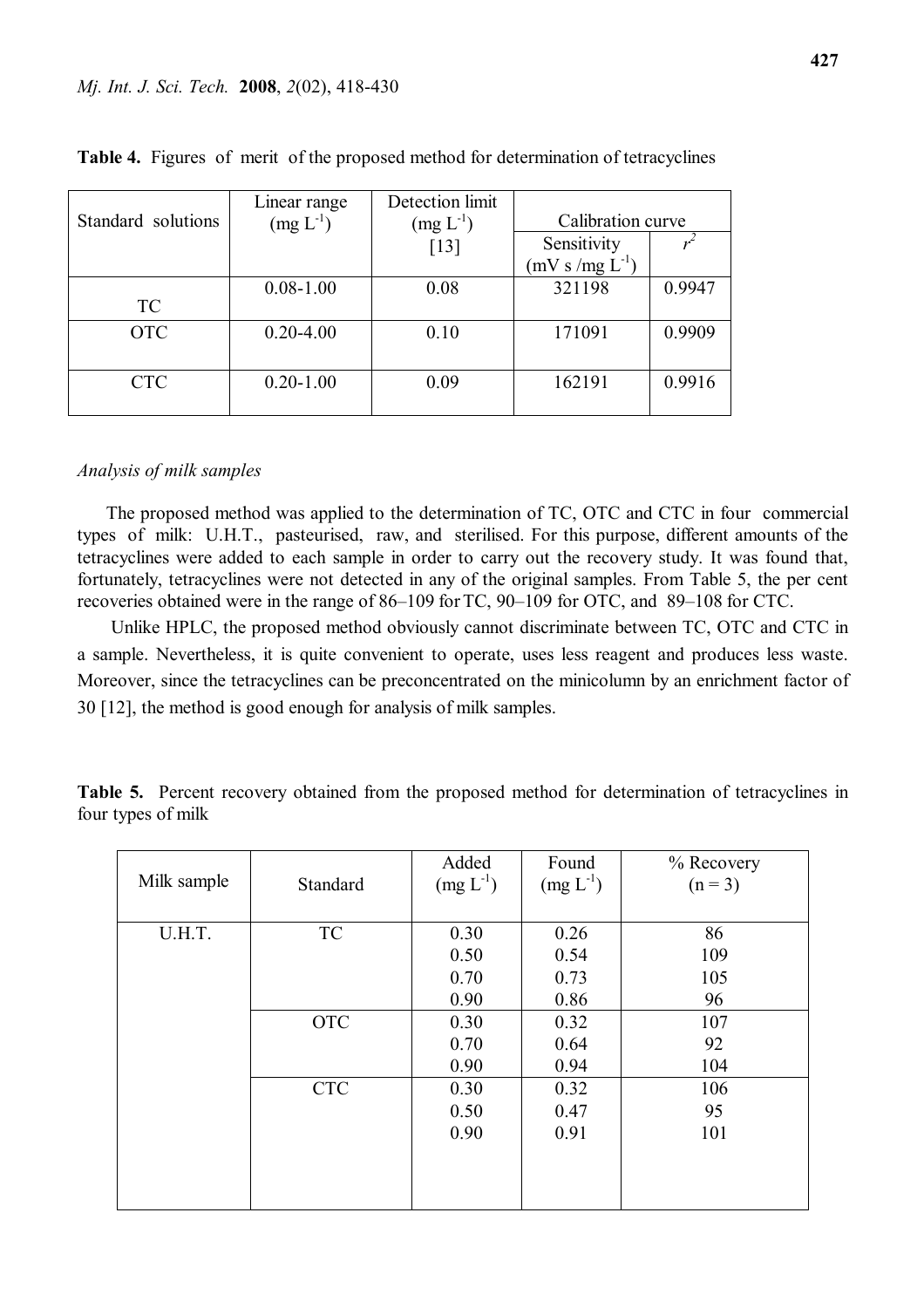|                    | Linear range  | Detection limit    |                   |        |
|--------------------|---------------|--------------------|-------------------|--------|
| Standard solutions | $(mg L-1)$    | $(mg L^{-1})$      | Calibration curve |        |
|                    |               | $\lceil 13 \rceil$ | Sensitivity       |        |
|                    |               |                    | $(mV s/mg L-1)$   |        |
|                    | $0.08 - 1.00$ | 0.08               | 321198            | 0.9947 |
| <b>TC</b>          |               |                    |                   |        |
| <b>OTC</b>         | $0.20 - 4.00$ | 0.10               | 171091            | 0.9909 |
|                    |               |                    |                   |        |
| <b>CTC</b>         | $0.20 - 1.00$ | 0.09               | 162191            | 0.9916 |
|                    |               |                    |                   |        |

**Table 4.** Figures of merit of the proposed method for determination of tetracyclines

#### *Analysis of milk samples*

 The proposed method was applied to the determination of TC, OTC and CTC in four commercial types of milk: U.H.T., pasteurised, raw, and sterilised. For this purpose, different amounts of the tetracyclines were added to each sample in order to carry out the recovery study. It was found that, fortunately, tetracyclines were not detected in any of the original samples. From Table 5, the per cent recoveries obtained were in the range of 86–109 for TC, 90–109 for OTC, and 89–108 for CTC.

 Unlike HPLC, the proposed method obviously cannot discriminate between TC, OTC and CTC in a sample. Nevertheless, it is quite convenient to operate, uses less reagent and produces less waste. Moreover, since the tetracyclines can be preconcentrated on the minicolumn by an enrichment factor of 30 [12], the method is good enough for analysis of milk samples.

**Table 5.** Percent recovery obtained from the proposed method for determination of tetracyclines in four types of milk

| Milk sample | Standard   | Added<br>$(mg L-1)$  | Found<br>$(mg L-1)$  | % Recovery<br>$(n = 3)$ |
|-------------|------------|----------------------|----------------------|-------------------------|
| U.H.T.      | TC         | 0.30<br>0.50<br>0.70 | 0.26<br>0.54<br>0.73 | 86<br>109<br>105        |
|             | <b>OTC</b> | 0.90<br>0.30         | 0.86<br>0.32         | 96<br>107               |
|             |            | 0.70<br>0.90         | 0.64<br>0.94         | 92<br>104               |
|             | <b>CTC</b> | 0.30<br>0.50<br>0.90 | 0.32<br>0.47<br>0.91 | 106<br>95<br>101        |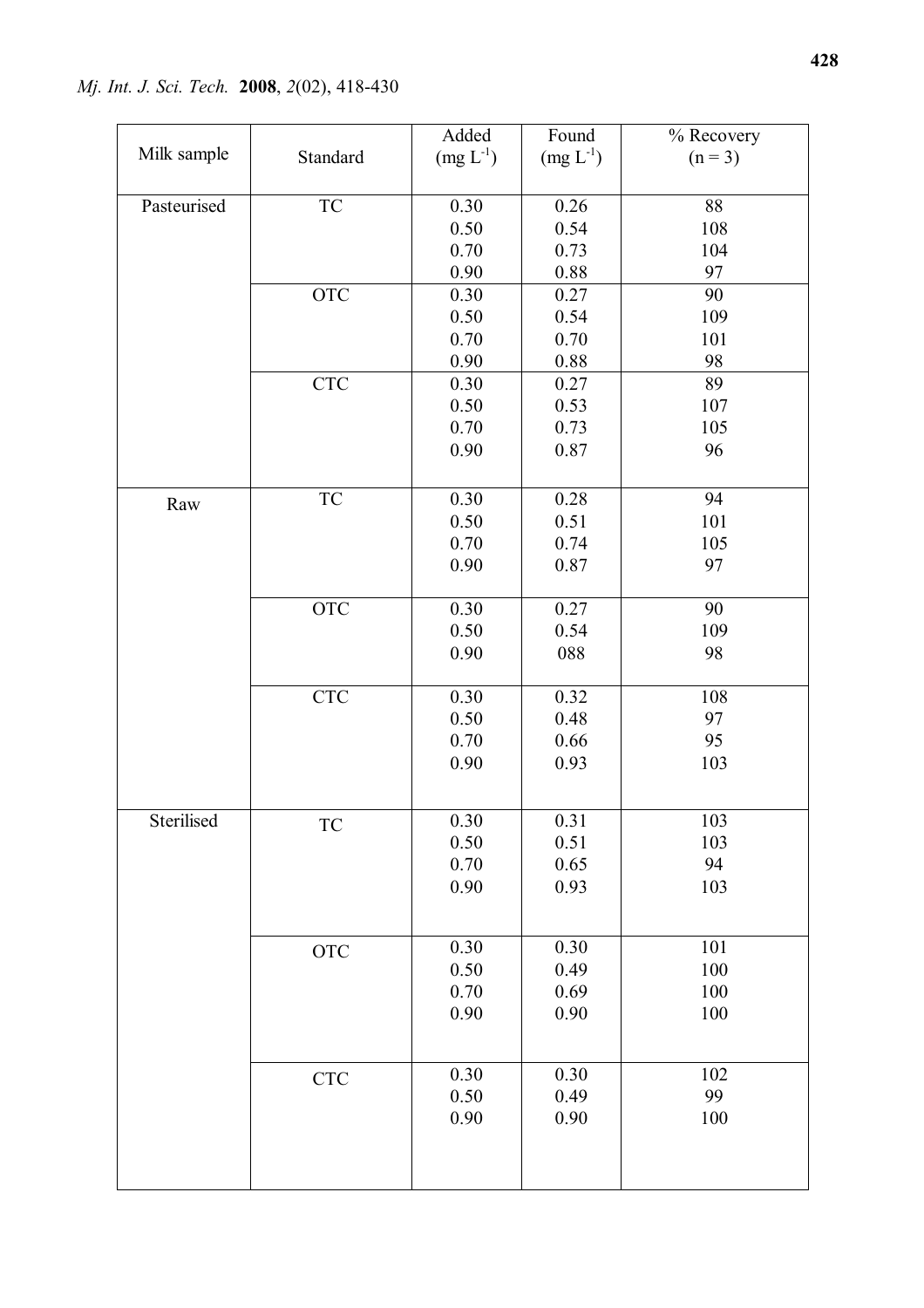*Mj. Int. J. Sci. Tech.* **2008**, *2*(02), 418-430

|             |                             | Added         | Found      | % Recovery |
|-------------|-----------------------------|---------------|------------|------------|
| Milk sample | Standard                    | $(mg L^{-1})$ | $(mg L-1)$ | $(n = 3)$  |
|             |                             |               |            |            |
| Pasteurised | ${\rm TC}$                  | 0.30          | 0.26       | 88         |
|             |                             | 0.50          | 0.54       | 108        |
|             |                             | 0.70          | 0.73       | 104        |
|             |                             | 0.90          | 0.88       | 97         |
|             | <b>OTC</b>                  | 0.30          | 0.27       | 90         |
|             |                             | 0.50          | 0.54       | 109        |
|             |                             | 0.70          | 0.70       | 101        |
|             |                             | 0.90          | 0.88       | 98         |
|             | CTC                         | 0.30          | 0.27       | 89         |
|             |                             | 0.50          | 0.53       | 107        |
|             |                             | 0.70          | 0.73       | 105        |
|             |                             | 0.90          | 0.87       | 96         |
|             |                             |               |            |            |
| Raw         | $\protect\operatorname{TC}$ | 0.30          | 0.28       | 94         |
|             |                             | 0.50          | 0.51       | 101        |
|             |                             | 0.70          | 0.74       | 105        |
|             |                             | 0.90          | 0.87       | 97         |
|             |                             |               |            |            |
|             | <b>OTC</b>                  | 0.30          | 0.27       | 90         |
|             |                             | 0.50          | 0.54       | 109        |
|             |                             | 0.90          | 088        | 98         |
|             |                             |               |            |            |
|             | CTC                         | 0.30          | 0.32       | 108        |
|             |                             | 0.50          | 0.48       | 97         |
|             |                             | 0.70          | 0.66       | 95         |
|             |                             | 0.90          | 0.93       | 103        |
|             |                             |               |            |            |
| Sterilised  | TC                          | 0.30          | 0.31       | 103        |
|             |                             | 0.50          | 0.51       | 103        |
|             |                             | 0.70          | 0.65       | 94         |
|             |                             | 0.90          | 0.93       | 103        |
|             |                             |               |            |            |
|             |                             |               |            |            |
|             | <b>OTC</b>                  | 0.30          | 0.30       | 101        |
|             |                             | 0.50          | 0.49       | 100        |
|             |                             | 0.70          | 0.69       | 100        |
|             |                             | 0.90          | 0.90       | 100        |
|             |                             |               |            |            |
|             | <b>CTC</b>                  | 0.30          | 0.30       | 102        |
|             |                             | 0.50          | 0.49       | 99         |
|             |                             | 0.90          | 0.90       | 100        |
|             |                             |               |            |            |
|             |                             |               |            |            |
|             |                             |               |            |            |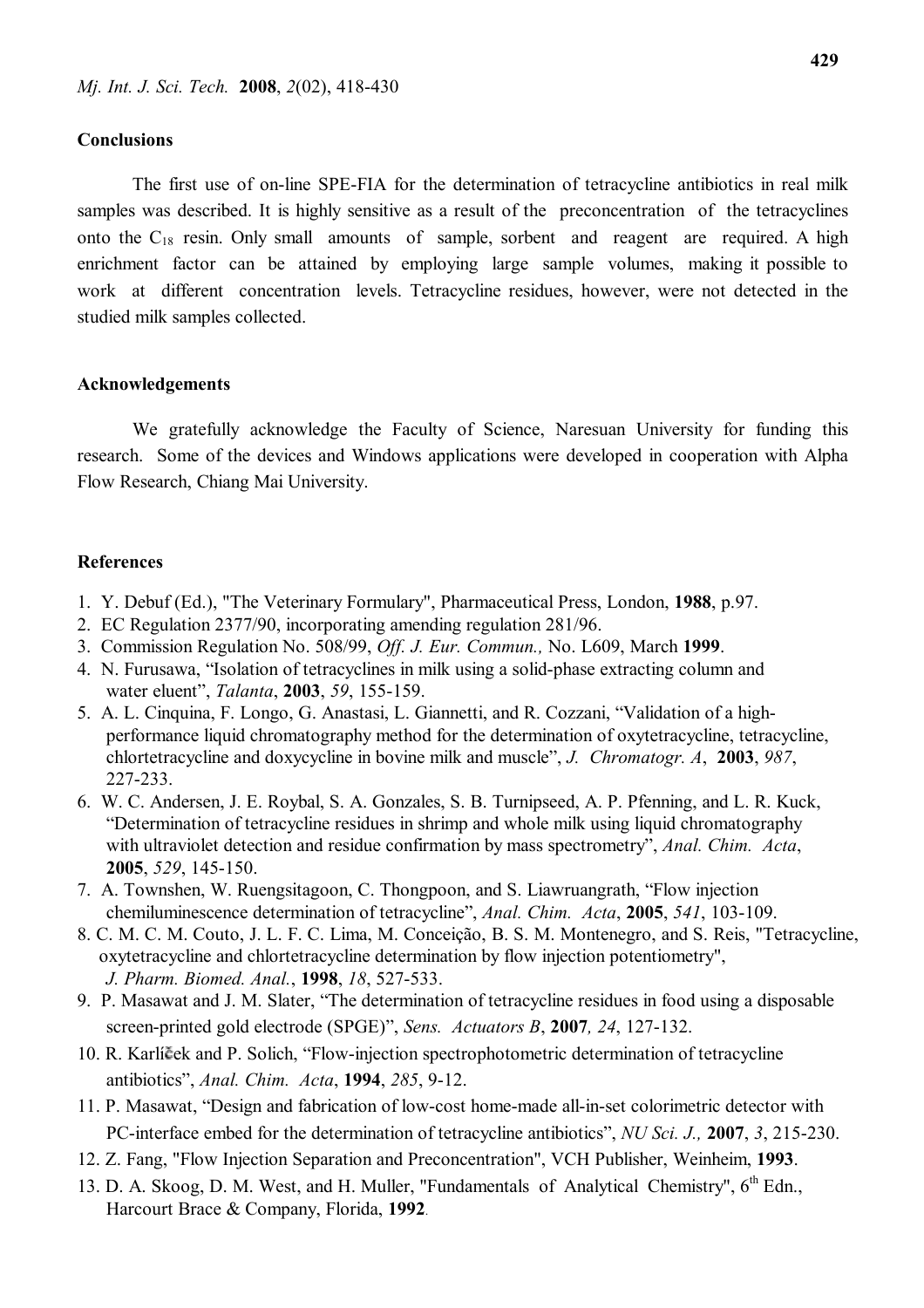### **Conclusions**

The first use of on-line SPE-FIA for the determination of tetracycline antibiotics in real milk samples was described. It is highly sensitive as a result of the preconcentration of the tetracyclines onto the  $C_{18}$  resin. Only small amounts of sample, sorbent and reagent are required. A high enrichment factor can be attained by employing large sample volumes, making it possible to work at different concentration levels. Tetracycline residues, however, were not detected in the studied milk samples collected.

# **Acknowledgements**

We gratefully acknowledge the Faculty of Science, Naresuan University for funding this research. Some of the devices and Windows applications were developed in cooperation with Alpha Flow Research, Chiang Mai University.

# **References**

- 1. Y. Debuf (Ed.), "The Veterinary Formulary", Pharmaceutical Press, London, **1988**, p.97.
- 2. EC Regulation 2377/90, incorporating amending regulation 281/96.
- 3. Commission Regulation No. 508/99, *Off. J. Eur. Commun.,* No. L609, March **1999**.
- 4. N. Furusawa, "Isolation of tetracyclines in milk using a solid-phase extracting column and water eluent", *Talanta*, **2003**, *59*, 155-159.
- 5. A. L. Cinquina, F. Longo, G. Anastasi, L. Giannetti, and R. Cozzani, "Validation of a high performance liquid chromatography method for the determination of oxytetracycline, tetracycline, chlortetracycline and doxycycline in bovine milk and muscle", *J. Chromatogr. A*, **2003**, *987*, 227-233.
- 6. W. C. Andersen, J. E. Roybal, S. A. Gonzales, S. B. Turnipseed, A. P. Pfenning, and L. R. Kuck, "Determination of tetracycline residues in shrimp and whole milk using liquid chromatography with ultraviolet detection and residue confirmation by mass spectrometry", *Anal. Chim. Acta*, **2005**, *529*, 145-150.
- 7. A. Townshen, W. Ruengsitagoon, C. Thongpoon, and S. Liawruangrath, "Flow injection chemiluminescence determination of tetracycline", *Anal. Chim. Acta*, **2005**, *541*, 103-109.
- 8. C. M. C. M. Couto, J. L. F. C. Lima, M. Conceição, B. S. M. Montenegro, and S. Reis, "Tetracycline, oxytetracycline and chlortetracycline determination by flow injection potentiometry", *J. Pharm. Biomed. Anal.*, **1998**, *18*, 527-533.
- 9. P. Masawat and J. M. Slater, "The determination of tetracycline residues in food using a disposable screen-printed gold electrode (SPGE)", *Sens. Actuators B*, **2007***, 24*, 127-132.
- 10. R. Karlíček and P. Solich, "Flow-injection spectrophotometric determination of tetracycline antibiotics", *Anal. Chim. Acta*, **1994**, *285*, 9-12.
- 11. P. Masawat, "Design and fabrication of low-cost home-made all-in-set colorimetric detector with PC-interface embed for the determination of tetracycline antibiotics", *NU Sci. J.,* **2007**, *3*, 215-230.
- 12. Z. Fang, "Flow Injection Separation and Preconcentration", VCH Publisher, Weinheim, **1993**.
- 13. D. A. Skoog, D. M. West, and H. Muller, "Fundamentals of Analytical Chemistry", 6<sup>th</sup> Edn., Harcourt Brace & Company, Florida, **1992**.